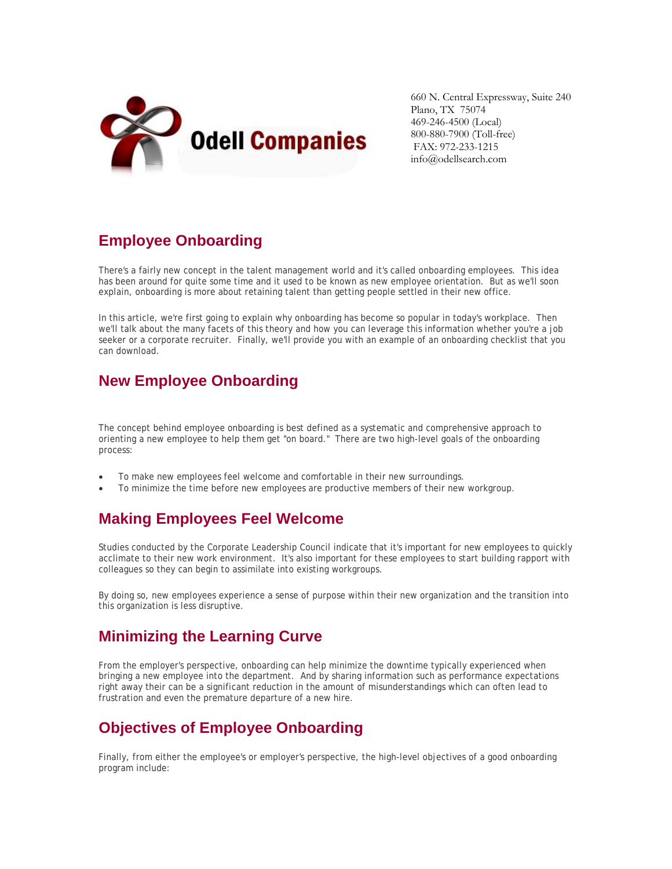

660 N. Central Expressway, Suite 240 Plano, TX 75074 469-246-4500 (Local) 800-880-7900 (Toll-free) FAX: 972-233-1215 info@odellsearch.com

# **Employee Onboarding**

There's a fairly new concept in the talent management world and it's called onboarding employees. This idea has been around for quite some time and it used to be known as new employee orientation. But as we'll soon explain, onboarding is more about retaining talent than getting people settled in their new office.

In this article, we're first going to explain why onboarding has become so popular in today's workplace. Then we'll talk about the many facets of this theory and how you can leverage this information whether you're a job seeker or a corporate recruiter. Finally, we'll provide you with an example of an onboarding checklist that you can download.

## **New Employee Onboarding**

The concept behind employee onboarding is best defined as a systematic and comprehensive approach to orienting a new employee to help them get "on board." There are two high-level goals of the onboarding process:

- To make new employees feel welcome and comfortable in their new surroundings.
- To minimize the time before new employees are productive members of their new workgroup.

# **Making Employees Feel Welcome**

Studies conducted by the Corporate Leadership Council indicate that it's important for new employees to quickly acclimate to their new work environment. It's also important for these employees to start building rapport with colleagues so they can begin to assimilate into existing workgroups.

By doing so, new employees experience a sense of purpose within their new organization and the transition into this organization is less disruptive.

### **Minimizing the Learning Curve**

From the employer's perspective, onboarding can help minimize the downtime typically experienced when bringing a new employee into the department. And by sharing information such as performance expectations right away their can be a significant reduction in the amount of misunderstandings which can often lead to frustration and even the premature departure of a new hire.

# **Objectives of Employee Onboarding**

Finally, from either the employee's or employer's perspective, the high-level objectives of a good onboarding program include: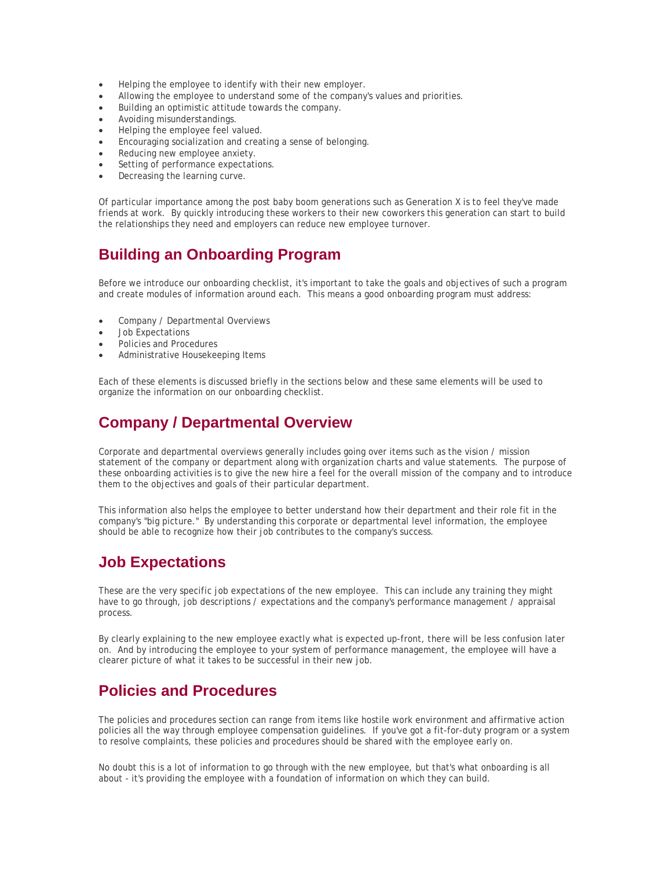- Helping the employee to identify with their new employer.
- Allowing the employee to understand some of the company's values and priorities.
- Building an optimistic attitude towards the company.
- Avoiding misunderstandings.
- Helping the employee feel valued.
- Encouraging socialization and creating a sense of belonging.
- Reducing new employee anxiety.
- Setting of performance expectations.
- Decreasing the learning curve.

Of particular importance among the post baby boom generations such as Generation X is to feel they've made friends at work. By quickly introducing these workers to their new coworkers this generation can start to build the relationships they need and employers can reduce new employee turnover.

### **Building an Onboarding Program**

Before we introduce our onboarding checklist, it's important to take the goals and objectives of such a program and create modules of information around each. This means a good onboarding program must address:

- Company / Departmental Overviews
- Job Expectations
- Policies and Procedures
- Administrative Housekeeping Items

Each of these elements is discussed briefly in the sections below and these same elements will be used to organize the information on our onboarding checklist.

#### **Company / Departmental Overview**

Corporate and departmental overviews generally includes going over items such as the vision / mission statement of the company or department along with organization charts and value statements. The purpose of these onboarding activities is to give the new hire a feel for the overall mission of the company and to introduce them to the objectives and goals of their particular department.

This information also helps the employee to better understand how their department and their role fit in the company's "big picture." By understanding this corporate or departmental level information, the employee should be able to recognize how their job contributes to the company's success.

#### **Job Expectations**

These are the very specific job expectations of the new employee. This can include any training they might have to go through, job descriptions / expectations and the company's performance management / appraisal process.

By clearly explaining to the new employee exactly what is expected up-front, there will be less confusion later on. And by introducing the employee to your system of performance management, the employee will have a clearer picture of what it takes to be successful in their new job.

#### **Policies and Procedures**

The policies and procedures section can range from items like hostile work environment and affirmative action policies all the way through employee compensation guidelines. If you've got a fit-for-duty program or a system to resolve complaints, these policies and procedures should be shared with the employee early on.

No doubt this is a lot of information to go through with the new employee, but that's what onboarding is all about - it's providing the employee with a foundation of information on which they can build.